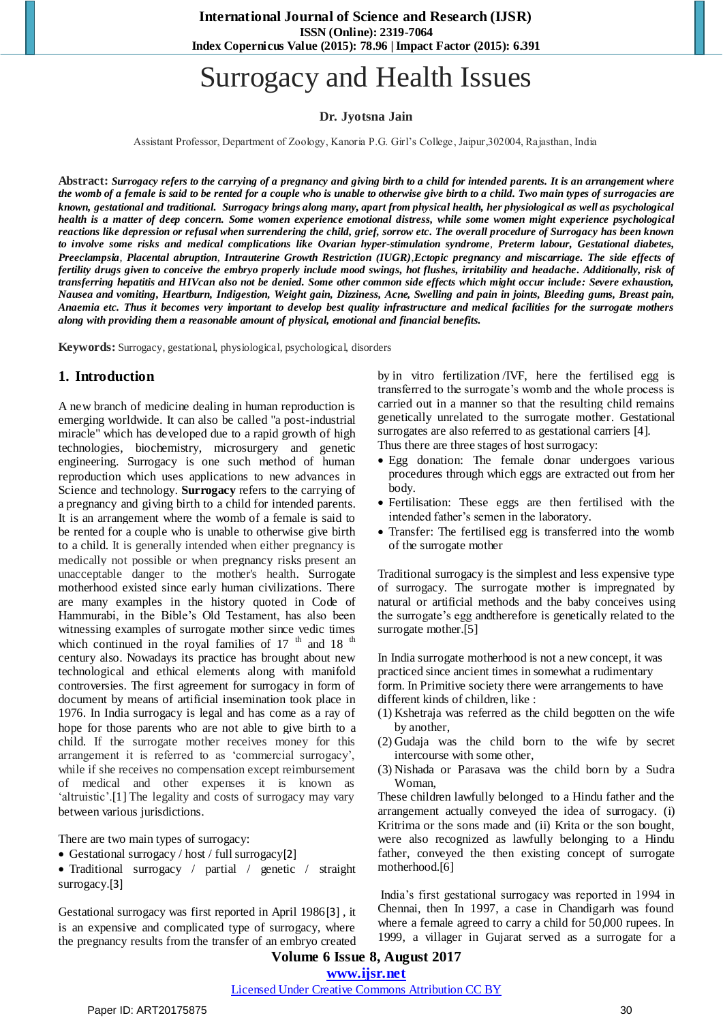# Surrogacy and Health Issues

#### **Dr. Jyotsna Jain**

Assistant Professor, Department of Zoology, Kanoria P.G. Girl's College, Jaipur,302004, Rajasthan, India

**Abstract:** *Surrogacy refers to the carrying of a [pregnancy](https://en.wikipedia.org/wiki/Pregnancy) and giving birth to a child for intended parents. It is an arrangement where the womb of a female is said to be rented for a couple who is unable to otherwise give birth to a child. Two main types of surrogacies are known, [gestational](https://en.wikipedia.org/wiki/Gestational) and traditional. Surrogacy brings along many, apart from physical health, her physiological as well as psychological health is a matter of deep concern. Some women experience emotional distress, while some women might experience psychological reactions like depression or refusal when surrendering the child, grief, sorrow etc. The overall procedure of Surrogacy has been known to involve some risks and medical complications like [Ovarian hyper-stimulation syndrome](http://en.wikipedia.org/wiki/Ovarian_hyperstimulation_syndrome), Preterm labour, Gestational diabetes, [Preeclampsia](http://en.wikipedia.org/wiki/Pre-eclampsia), [Placental abruption](http://en.wikipedia.org/wiki/Placental_abruption), [Intrauterine Growth Restriction \(IUGR\)](https://en.wikipedia.org/wiki/Intrauterine_growth_restriction),[Ectopic pregnancy](http://en.wikipedia.org/wiki/Ectopic_pregnancy) and miscarriage. The side effects of fertility drugs given to conceive the embryo properly include mood swings, hot flushes, irritability and headache. Additionally, risk of transferring hepatitis and HIVcan also not be denied. Some other common side effects which might occur include: Severe exhaustion, Nausea and vomiting, Heartburn, Indigestion, Weight gain, Dizziness, Acne, Swelling and pain in joints, Bleeding gums, Breast pain, Anaemia etc. Thus it becomes very important to develop best quality infrastructure and medical facilities for the surrogate mothers along with providing them a reasonable amount of physical, emotional and financial benefits.*

**Keywords:** Surrogacy, gestational, physiological, psychological, disorders

#### **1. Introduction**

A new branch of medicine dealing in human reproduction is emerging worldwide. It can also be called "a post-industrial miracle" which has developed due to a rapid growth of high technologies, biochemistry, microsurgery and genetic engineering. Surrogacy is one such method of human reproduction which uses applications to new advances in Science and technology. **Surrogacy** refers to the carrying of a [pregnancy](https://en.wikipedia.org/wiki/Pregnancy) and giving birth to a child for intended parents. It is an arrangement where the womb of a female is said to be rented for a couple who is unable to otherwise give birth to a child. It is generally intended when either pregnancy is medically not possible or when [pregnancy risks](https://en.wikipedia.org/wiki/Pregnancy_risks) present an unacceptable danger to the mother's health. Surrogate motherhood existed since early human civilizations. There are many examples in the history quoted in Code of Hammurabi, in the Bible's Old Testament, has also been witnessing examples of surrogate mother since vedic times which continued in the royal families of  $17<sup>th</sup>$  and  $18<sup>th</sup>$ century also. Nowadays its practice has brought about new technological and ethical elements along with manifold controversies. The first agreement for surrogacy in form of document by means of artificial insemination took place in 1976. In India surrogacy is legal and has come as a ray of hope for those parents who are not able to give birth to a child. If the surrogate mother receives money for this arrangement it is referred to as 'commercial surrogacy', while if she receives no compensation except reimbursement of medical and other expenses it is known as 'altruistic'.<sup>[1]</sup> The legality and costs of surrogacy may vary between various [jurisdictions.](https://en.wikipedia.org/wiki/Jurisdiction)

There are two main types of surrogacy:

• [Gestational](https://en.wikipedia.org/wiki/Gestational) surrogacy / host / full surrogacy[2]

 Traditional surrogacy / partial / genetic / straight surrogacy.[3]

Gestational surrogacy was first reported in April 1986[3] , it is an expensive and complicated type of surrogacy, where the pregnancy results from the transfer of an [embryo](https://en.wikipedia.org/wiki/Embryo) created by [in vitro fertilization](https://en.wikipedia.org/wiki/In_vitro_fertilisation) /IVF, here the fertilised egg is transferred to the surrogate's womb and the whole process is carried out in a manner so that the resulting child remains genetically unrelated to the surrogate mother. Gestational surrogates are also referred to as gestational carriers [4].

Thus there are three stages of host surrogacy:

- Egg donation: The female donar undergoes various procedures through which eggs are extracted out from her body.
- Fertilisation: These eggs are then fertilised with the intended father's semen in the laboratory.
- Transfer: The fertilised egg is transferred into the womb of the surrogate mother

Traditional surrogacy is the simplest and less expensive type of surrogacy. The surrogate mother is impregnated by natural or artificial methods and the baby conceives using the surrogate's egg andtherefore is genetically related to the surrogate mother.[5]

In India surrogate motherhood is not a new concept, it was practiced since ancient times in somewhat a rudimentary form. In Primitive society there were arrangements to have different kinds of children, like :

- (1) Kshetraja was referred as the child begotten on the wife by another,
- (2) Gudaja was the child born to the wife by secret intercourse with some other,
- (3) Nishada or Parasava was the child born by a Sudra Woman,

These children lawfully belonged to a Hindu father and the arrangement actually conveyed the idea of surrogacy. (i) Kritrima or the sons made and (ii) Krita or the son bought, were also recognized as lawfully belonging to a Hindu father, conveyed the then existing concept of surrogate motherhood.[6]

India's first gestational surrogacy was reported in 1994 in Chennai, then In 1997, a case in Chandigarh was found where a female agreed to carry a child for 50,000 rupees. In 1999, a villager in Gujarat served as a surrogate for a

# **Volume 6 Issue 8, August 2017**

# **www.ijsr.net**

#### Licensed Under Creative Commons Attribution CC BY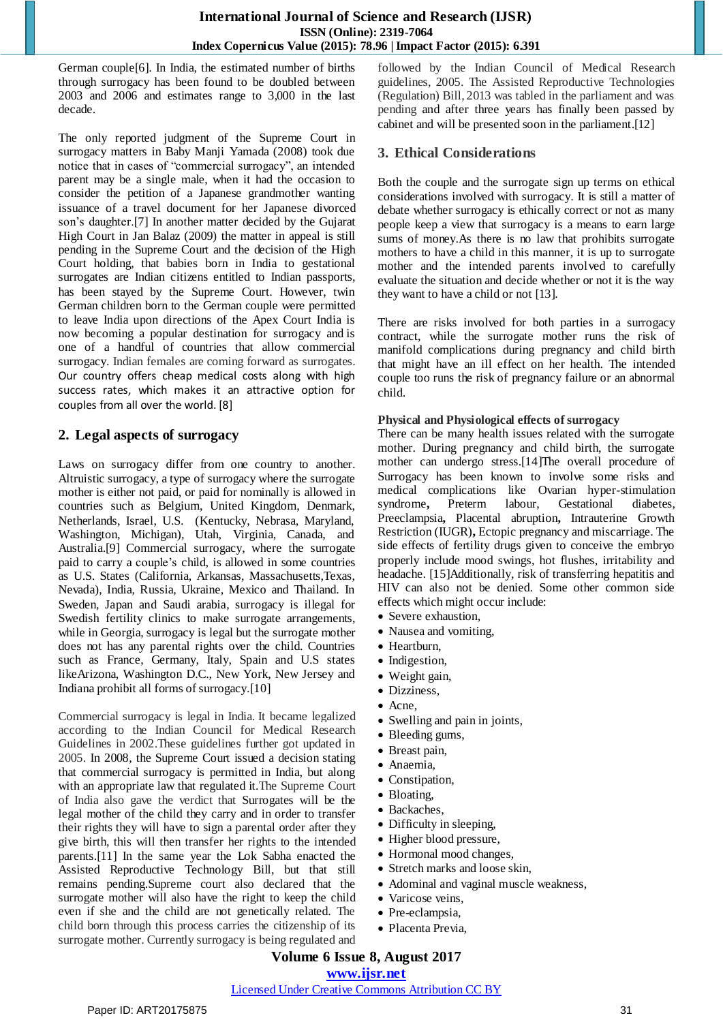## **International Journal of Science and Research (IJSR) ISSN (Online): 2319-7064 Index Copernicus Value (2015): 78.96 | Impact Factor (2015): 6.391**

German couple[6]. In India, the estimated number of births through surrogacy has been found to be doubled between 2003 and 2006 and estimates range to 3,000 in the last decade.

The only reported judgment of the Supreme Court in surrogacy matters in Baby Manji Yamada (2008) took due notice that in cases of "commercial surrogacy", an intended parent may be a single male, when it had the occasion to consider the petition of a Japanese grandmother wanting issuance of a travel document for her Japanese divorced son's daughter.[7] In another matter decided by the Gujarat High Court in Jan Balaz (2009) the matter in appeal is still pending in the Supreme Court and the decision of the High Court holding, that babies born in India to gestational surrogates are Indian citizens entitled to Indian passports, has been stayed by the Supreme Court. However, twin German children born to the German couple were permitted to leave India upon directions of the Apex Court India is now becoming a popular destination for surrogacy and is one of a handful of countries that allow commercial surrogacy. Indian females are coming forward as surrogates. Our country offers cheap medical costs along with high success rates, which makes it an attractive option for couples from all over the world. [8]

# **2. Legal aspects of surrogacy**

Laws on surrogacy differ from one country to another. Altruistic surrogacy, a type of surrogacy where the surrogate mother is either not paid, or paid for nominally is allowed in countries such as Belgium, United Kingdom, Denmark, Netherlands, Israel, U.S. (Kentucky, Nebrasa, Maryland, Washington, Michigan), Utah, Virginia, Canada, and Australia.[9] Commercial surrogacy, where the surrogate paid to carry a couple's child, is allowed in some countries as U.S. States (California, Arkansas, Massachusetts,Texas, Nevada), India, Russia, Ukraine, Mexico and Thailand. In Sweden, Japan and Saudi arabia, surrogacy is illegal for Swedish fertility clinics to make surrogate arrangements, while in Georgia, surrogacy is legal but the surrogate mother does not has any parental rights over the child. Countries such as France, Germany, Italy, Spain and U.S states likeArizona, Washington D.C., New York, New Jersey and Indiana prohibit all forms of surrogacy.[10]

Commercial surrogacy is legal in India. It became legalized according to the Indian Council for Medical Research Guidelines in 2002.These guidelines further got updated in 2005. In 2008, the Supreme Court issued a decision stating that commercial surrogacy is permitted in India, but along with an appropriate law that regulated it.The Supreme Court of India also gave the verdict that Surrogates will be the legal mother of the child they carry and in order to transfer their rights they will have to sign a parental order after they give birth, this will then transfer her rights to the intended parents.[11] In the same year the Lok Sabha enacted the Assisted Reproductive Technology Bill, but that still remains pending.Supreme court also declared that the surrogate mother will also have the right to keep the child even if she and the child are not genetically related. The child born through this process carries the citizenship of its surrogate mother. Currently surrogacy is being regulated and followed by the Indian Council of Medical Research guidelines, 2005. The Assisted Reproductive Technologies (Regulation) Bill, 2013 was tabled in the parliament and was pending and after three years has finally been passed by cabinet and will be presented soon in the parliament.[12]

# **3. Ethical Considerations**

Both the couple and the surrogate sign up terms on ethical considerations involved with surrogacy. It is still a matter of debate whether surrogacy is ethically correct or not as many people keep a view that surrogacy is a means to earn large sums of money.As there is no law that prohibits surrogate mothers to have a child in this manner, it is up to surrogate mother and the intended parents involved to carefully evaluate the situation and decide whether or not it is the way they want to have a child or not [13].

There are risks involved for both parties in a surrogacy contract, while the surrogate mother runs the risk of manifold complications during pregnancy and child birth that might have an ill effect on her health. The intended couple too runs the risk of pregnancy failure or an abnormal child.

#### **Physical and Physiological effects of surrogacy**

There can be many health issues related with the surrogate mother. During pregnancy and child birth, the surrogate mother can undergo stress.[14]The overall procedure of Surrogacy has been known to involve some risks and medical complications like [Ovarian hyper-stimulation](http://en.wikipedia.org/wiki/Ovarian_hyperstimulation_syndrome)  [syndrome](http://en.wikipedia.org/wiki/Ovarian_hyperstimulation_syndrome)**,** Preterm labour, Gestational diabetes, [Preeclampsia](http://en.wikipedia.org/wiki/Pre-eclampsia)**,** [Placental abruption](http://en.wikipedia.org/wiki/Placental_abruption)**,** [Intrauterine Growth](https://en.wikipedia.org/wiki/Intrauterine_growth_restriction)  [Restriction \(IUGR\)](https://en.wikipedia.org/wiki/Intrauterine_growth_restriction)**,** [Ectopic pregnancy](http://en.wikipedia.org/wiki/Ectopic_pregnancy) and miscarriage. The side effects of fertility drugs given to conceive the embryo properly include mood swings, hot flushes, irritability and headache. [15]Additionally, risk of transferring hepatitis and HIV can also not be denied. Some other common side effects which might occur include:

- Severe exhaustion,
- Nausea and vomiting,
- Heartburn,
- Indigestion,
- Weight gain,
- Dizziness,
- Acne,
- Swelling and pain in joints,
- Bleeding gums,
- Breast pain,
- Anaemia,
- Constipation,
- Bloating,
- Backaches,
- Difficulty in sleeping,
- Higher blood pressure,
- Hormonal mood changes,
- Stretch marks and loose skin,
- Adominal and vaginal muscle weakness,
- Varicose veins,
- Pre-eclampsia,
- Placenta Previa,

# **Volume 6 Issue 8, August 2017**

**www.ijsr.net**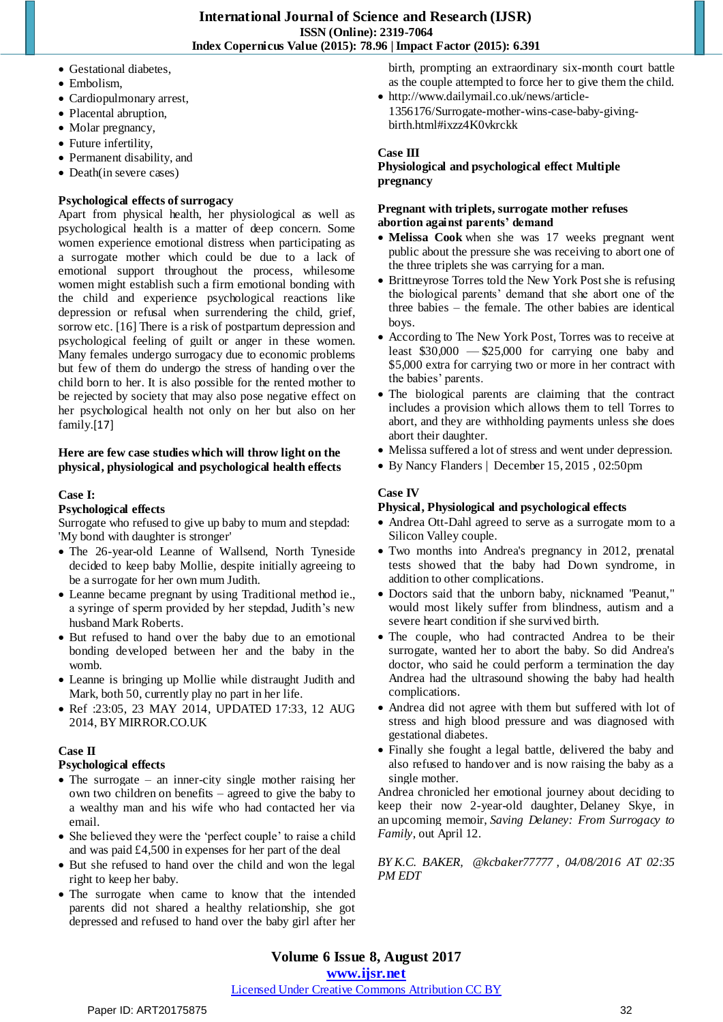- Gestational diabetes,
- Embolism,
- Cardiopulmonary arrest,
- Placental abruption,
- Molar pregnancy,
- Future infertility,
- Permanent disability, and
- Death(in severe cases)

#### **Psychological effects of surrogacy**

Apart from physical health, her physiological as well as psychological health is a matter of deep concern. Some women experience emotional distress when participating as a surrogate mother which could be due to a lack of emotional support throughout the process, whilesome women might establish such a firm emotional bonding with the child and experience psychological reactions like depression or refusal when surrendering the child, grief, sorrow etc. [16] There is a risk of postpartum depression and psychological feeling of guilt or anger in these women. Many females undergo surrogacy due to economic problems but few of them do undergo the stress of handing over the child born to her. It is also possible for the rented mother to be rejected by society that may also pose negative effect on her psychological health not only on her but also on her family.[17]

#### **Here are few case studies which will throw light on the physical, physiological and psychological health effects**

#### **Case I:**

#### **Psychological effects**

Surrogate who refused to give up baby to mum and stepdad: 'My bond with daughter is stronger'

- The 26-year-old Leanne of Wallsend, North Tyneside decided to keep baby Mollie, despite initially [agreeing to](http://www.mirror.co.uk/all-about/surrogacy)  [be a surrogate](http://www.mirror.co.uk/all-about/surrogacy) for her own mum Judith.
- Leanne became pregnant by using Traditional method ie., a syringe of sperm provided by her stepdad, Judith's new husband Mark Roberts.
- But refused to hand over the baby due to an emotional bonding developed between her and the baby in the womb.
- Leanne is bringing up Mollie while distraught Judith and Mark, both 50, currently play no part in her life.
- Ref :23:05, 23 MAY 2014, UPDATED 17:33, 12 AUG 2014, BY MIRROR.CO.UK

#### **Case II**

#### **Psychological effects**

- The surrogate an inner-city single mother raising her own two children on benefits – agreed to give the baby to a wealthy man and his wife who had contacted her via email.
- She believed they were the 'perfect couple' to raise a child and was paid £4,500 in expenses for her part of the deal
- But she refused to hand over the child and won the legal right to keep her baby.
- The surrogate when came to know that the intended parents did not shared a healthy relationship, she got depressed and refused to hand over the baby girl after her

birth, prompting an extraordinary six-month court battle as the couple attempted to force her to give them the child.

 [http://www.dailymail.co.uk/news/article-](http://www.dailymail.co.uk/news/article-1356176/Surrogate-mother-wins-case-baby-giving-birth.html)[1356176/Surrogate-mother-wins-case-baby-giving](http://www.dailymail.co.uk/news/article-1356176/Surrogate-mother-wins-case-baby-giving-birth.html)[birth.html#ixzz4K0vkrckk](http://www.dailymail.co.uk/news/article-1356176/Surrogate-mother-wins-case-baby-giving-birth.html)

#### **Case III**

#### **Physiological and psychological effect Multiple pregnancy**

#### **Pregnant with triplets, surrogate mother refuses abortion against parents' demand**

- **[Melissa Cook](http://liveactionnews.org/surrogate-pregnant-triplets-threatened-financial-ruin-doesnt-abort/)** when she was 17 weeks pregnant went public about the pressure she was receiving to abort one of the three triplets she was carrying for a man.
- Brittneyrose Torres told the New York Post she is refusing the biological parents' demand that she abort one of the three babies – the female. The other babies are identical boys.
- According to The New York Post, Torres was to receive at least  $$30,000 - $25,000$  for carrying one baby and \$5,000 extra for carrying two or more in her contract with the babies' parents.
- The biological parents are claiming that the contract includes a provision which allows them to tell Torres to abort, and they are withholding payments unless she does abort their daughter.
- Melissa suffered a lot of stress and went under depression.
- By [Nancy Flanders](http://liveactionnews.org/author/nancy/) | December 15, 2015 , 02:50pm

#### **Case IV**

#### **Physical, Physiological and psychological effects**

- Andrea Ott-Dahl agreed to serve as a surrogate mom to a Silicon Valley couple.
- Two months into Andrea's pregnancy in 2012, prenatal tests showed that the baby had Down syndrome, in addition to other complications.
- Doctors said that the unborn baby, nicknamed "Peanut," would most likely suffer from blindness, autism and a severe heart condition if she survived birth.
- The couple, who had contracted Andrea to be their surrogate, wanted her to abort the baby. So did Andrea's doctor, who said he could perform a termination the day Andrea had the ultrasound showing the baby had health complications.
- Andrea did not agree with them but suffered with lot of stress and high blood pressure and was diagnosed with gestational diabetes.
- Finally she fought a legal battle, delivered the baby and also refused to handover and is now raising the baby as a single mother.

Andrea chronicled her emotional journey about deciding to keep their now 2-year-old daughter, [Delaney Skye,](http://delaneyskye.com/index.html) in an [upcoming memoir,](http://www.amazon.com/Saving-Delaney-Keston-Ott-Dahl-ebook/dp/B017KXN0A6) *Saving Delaney: From Surrogacy to Family*, out April 12.

*BY K.C. BAKER, [@kcbaker77777](https://twitter.com/intent/user?screen_name=kcbaker77777) , 04/08/2016 AT 02:35 PM EDT*